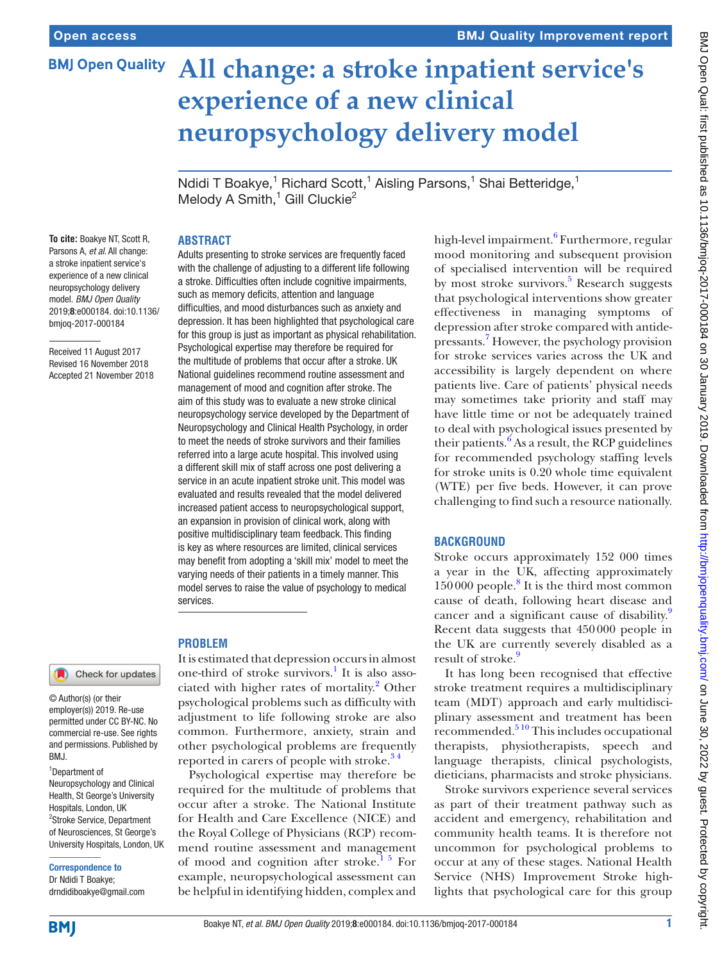**BMJ Open Quality** 

# **All change: a stroke inpatient service's experience of a new clinical neuropsychology delivery model**

Ndidi T Boakye,<sup>1</sup> Richard Scott,<sup>1</sup> Aisling Parsons,<sup>1</sup> Shai Betteridge,<sup>1</sup> Melody A Smith,<sup>1</sup> Gill Cluckie<sup>2</sup>

#### **To cite:** Boakye NT, Scott R, Parsons A, *et al*. All change: a stroke inpatient service's experience of a new clinical neuropsychology delivery model. *BMJ Open Quality* 2019;8:e000184. doi:10.1136/ bmjoq-2017-000184

Received 11 August 2017 Revised 16 November 2018 Accepted 21 November 2018

# **Problem**

© Author(s) (or their employer(s)) 2019. Re-use permitted under CC BY-NC. No commercial re-use. See rights and permissions. Published by RM<sub>J</sub>

Check for updates

1 Department of Neuropsychology and Clinical Health, St George's University Hospitals, London, UK 2 Stroke Service, Department of Neurosciences, St George's University Hospitals, London, UK

Correspondence to

Dr Ndidi T Boakye; drndidiboakye@gmail.com

# **Abstract**

Adults presenting to stroke services are frequently faced with the challenge of adjusting to a different life following a stroke. Difficulties often include cognitive impairments, such as memory deficits, attention and language difficulties, and mood disturbances such as anxiety and depression. It has been highlighted that psychological care for this group is just as important as physical rehabilitation. Psychological expertise may therefore be required for the multitude of problems that occur after a stroke. UK National guidelines recommend routine assessment and management of mood and cognition after stroke. The aim of this study was to evaluate a new stroke clinical neuropsychology service developed by the Department of Neuropsychology and Clinical Health Psychology, in order to meet the needs of stroke survivors and their families referred into a large acute hospital. This involved using a different skill mix of staff across one post delivering a service in an acute inpatient stroke unit. This model was evaluated and results revealed that the model delivered increased patient access to neuropsychological support, an expansion in provision of clinical work, along with positive multidisciplinary team feedback. This finding is key as where resources are limited, clinical services may benefit from adopting a 'skill mix' model to meet the varying needs of their patients in a timely manner. This model serves to raise the value of psychology to medical services.

It is estimated that depression occurs in almost one-third of stroke survivors.<sup>[1](#page-5-0)</sup> It is also asso-ciated with higher rates of mortality.<sup>[2](#page-5-1)</sup> Other psychological problems such as difficulty with adjustment to life following stroke are also common. Furthermore, anxiety, strain and other psychological problems are frequently reported in carers of people with stroke.<sup>34</sup>

Psychological expertise may therefore be required for the multitude of problems that occur after a stroke. The National Institute for Health and Care Excellence (NICE) and the Royal College of Physicians (RCP) recommend routine assessment and management of mood and cognition after stroke.<sup>15</sup> For example, neuropsychological assessment can be helpful in identifying hidden, complex and

high-level impairment.<sup>[6](#page-5-3)</sup> Furthermore, regular mood monitoring and subsequent provision of specialised intervention will be required by most stroke survivors.<sup>5</sup> Research suggests that psychological interventions show greater effectiveness in managing symptoms of depression after stroke compared with antidepressants.[7](#page-5-5) However, the psychology provision for stroke services varies across the UK and accessibility is largely dependent on where patients live. Care of patients' physical needs may sometimes take priority and staff may have little time or not be adequately trained to deal with psychological issues presented by their patients. $6$  As a result, the RCP guidelines for recommended psychology staffing levels for stroke units is 0.20 whole time equivalent (WTE) per five beds. However, it can prove challenging to find such a resource nationally.

# **BACKGROUND**

Stroke occurs approximately 152 000 times a year in the UK, affecting approximately 150000 people.<sup>[8](#page-5-6)</sup> It is the third most common cause of death, following heart disease and cancer and a significant cause of disability.<sup>[9](#page-5-7)</sup> Recent data suggests that 450000 people in the UK are currently severely disabled as a result of stroke.<sup>[9](#page-5-7)</sup>

It has long been recognised that effective stroke treatment requires a multidisciplinary team (MDT) approach and early multidisciplinary assessment and treatment has been recommended. $5^{10}$  This includes occupational therapists, physiotherapists, speech and language therapists, clinical psychologists, dieticians, pharmacists and stroke physicians.

Stroke survivors experience several services as part of their treatment pathway such as accident and emergency, rehabilitation and community health teams. It is therefore not uncommon for psychological problems to occur at any of these stages. National Health Service (NHS) Improvement Stroke highlights that psychological care for this group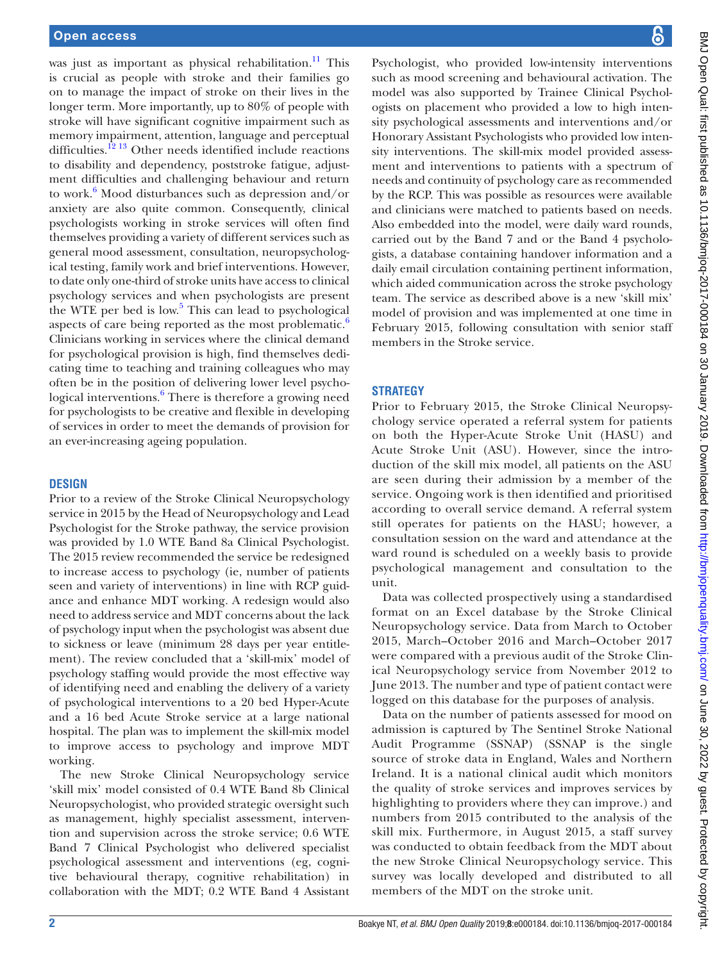was just as important as physical rehabilitation.<sup>[11](#page-5-8)</sup> This is crucial as people with stroke and their families go on to manage the impact of stroke on their lives in the longer term. More importantly, up to 80% of people with stroke will have significant cognitive impairment such as memory impairment, attention, language and perceptual difficulties.<sup>12 13</sup> Other needs identified include reactions to disability and dependency, poststroke fatigue, adjustment difficulties and challenging behaviour and return to work.<sup>6</sup> Mood disturbances such as depression and/or anxiety are also quite common. Consequently, clinical psychologists working in stroke services will often find themselves providing a variety of different services such as general mood assessment, consultation, neuropsychological testing, family work and brief interventions. However, to date only one-third of stroke units have access to clinical psychology services and when psychologists are present the WTE per bed is low. $5$  This can lead to psychological aspects of care being reported as the most problematic.<sup>[6](#page-5-3)</sup> Clinicians working in services where the clinical demand for psychological provision is high, find themselves dedicating time to teaching and training colleagues who may often be in the position of delivering lower level psychological interventions.<sup>6</sup> There is therefore a growing need for psychologists to be creative and flexible in developing of services in order to meet the demands of provision for an ever-increasing ageing population.

# **Design**

Prior to a review of the Stroke Clinical Neuropsychology service in 2015 by the Head of Neuropsychology and Lead Psychologist for the Stroke pathway, the service provision was provided by 1.0 WTE Band 8a Clinical Psychologist. The 2015 review recommended the service be redesigned to increase access to psychology (ie, number of patients seen and variety of interventions) in line with RCP guidance and enhance MDT working. A redesign would also need to address service and MDT concerns about the lack of psychology input when the psychologist was absent due to sickness or leave (minimum 28 days per year entitlement). The review concluded that a 'skill-mix' model of psychology staffing would provide the most effective way of identifying need and enabling the delivery of a variety of psychological interventions to a 20 bed Hyper-Acute and a 16 bed Acute Stroke service at a large national hospital. The plan was to implement the skill-mix model to improve access to psychology and improve MDT working.

The new Stroke Clinical Neuropsychology service 'skill mix' model consisted of 0.4 WTE Band 8b Clinical Neuropsychologist, who provided strategic oversight such as management, highly specialist assessment, intervention and supervision across the stroke service; 0.6 WTE Band 7 Clinical Psychologist who delivered specialist psychological assessment and interventions (eg, cognitive behavioural therapy, cognitive rehabilitation) in collaboration with the MDT; 0.2 WTE Band 4 Assistant

Psychologist, who provided low-intensity interventions such as mood screening and behavioural activation. The model was also supported by Trainee Clinical Psychologists on placement who provided a low to high intensity psychological assessments and interventions and/or Honorary Assistant Psychologists who provided low intensity interventions. The skill-mix model provided assessment and interventions to patients with a spectrum of needs and continuity of psychology care as recommended by the RCP. This was possible as resources were available and clinicians were matched to patients based on needs. Also embedded into the model, were daily ward rounds, carried out by the Band 7 and or the Band 4 psychologists, a database containing handover information and a daily email circulation containing pertinent information, which aided communication across the stroke psychology team. The service as described above is a new 'skill mix' model of provision and was implemented at one time in February 2015, following consultation with senior staff members in the Stroke service.

# **Strategy**

Prior to February 2015, the Stroke Clinical Neuropsychology service operated a referral system for patients on both the Hyper-Acute Stroke Unit (HASU) and Acute Stroke Unit (ASU). However, since the introduction of the skill mix model, all patients on the ASU are seen during their admission by a member of the service. Ongoing work is then identified and prioritised according to overall service demand. A referral system still operates for patients on the HASU; however, a consultation session on the ward and attendance at the ward round is scheduled on a weekly basis to provide psychological management and consultation to the unit.

Data was collected prospectively using a standardised format on an Excel database by the Stroke Clinical Neuropsychology service. Data from March to October 2015, March–October 2016 and March–October 2017 were compared with a previous audit of the Stroke Clinical Neuropsychology service from November 2012 to June 2013. The number and type of patient contact were logged on this database for the purposes of analysis.

Data on the number of patients assessed for mood on admission is captured by The Sentinel Stroke National Audit Programme (SSNAP) (SSNAP is the single source of stroke data in England, Wales and Northern Ireland. It is a national clinical audit which monitors the quality of stroke services and improves services by highlighting to providers where they can improve.) and numbers from 2015 contributed to the analysis of the skill mix. Furthermore, in August 2015, a staff survey was conducted to obtain feedback from the MDT about the new Stroke Clinical Neuropsychology service. This survey was locally developed and distributed to all members of the MDT on the stroke unit.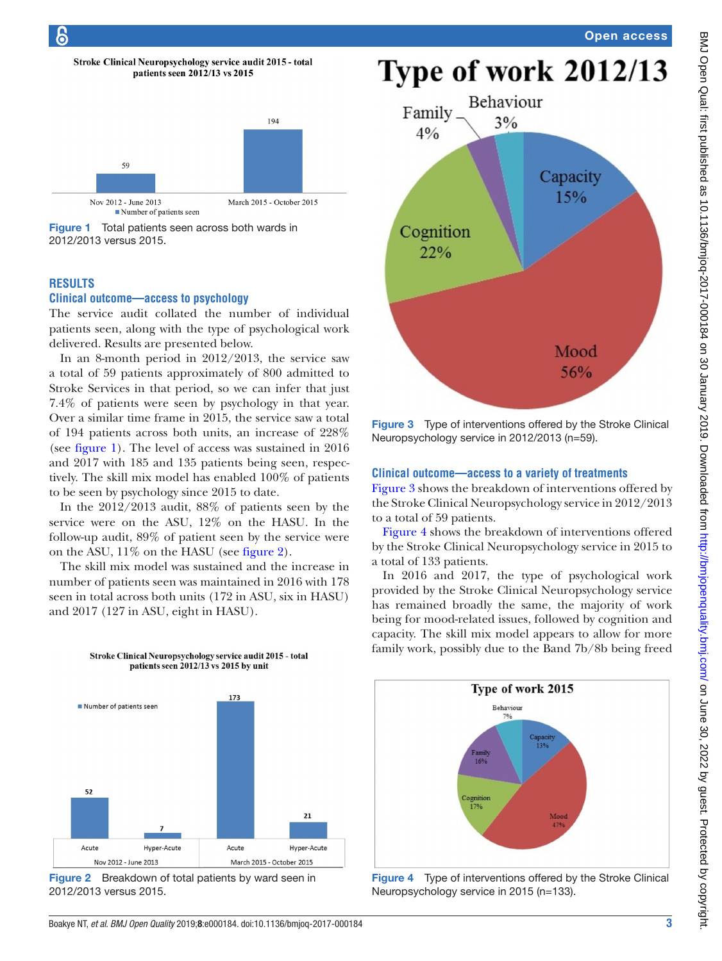



<span id="page-2-0"></span>

# **Results**

#### **Clinical outcome—access to psychology**

The service audit collated the number of individual patients seen, along with the type of psychological work delivered. Results are presented below.

In an 8-month period in 2012/2013, the service saw a total of 59 patients approximately of 800 admitted to Stroke Services in that period, so we can infer that just 7.4% of patients were seen by psychology in that year. Over a similar time frame in 2015, the service saw a total of 194 patients across both units, an increase of 228% (see [figure](#page-2-0) 1). The level of access was sustained in 2016 and 2017 with 185 and 135 patients being seen, respectively. The skill mix model has enabled 100% of patients to be seen by psychology since 2015 to date.

In the 2012/2013 audit, 88% of patients seen by the service were on the ASU, 12% on the HASU. In the follow-up audit, 89% of patient seen by the service were on the ASU, 11% on the HASU (see [figure](#page-2-1) 2).

The skill mix model was sustained and the increase in number of patients seen was maintained in 2016 with 178 seen in total across both units (172 in ASU, six in HASU) and 2017 (127 in ASU, eight in HASU).

> Stroke Clinical Neuropsychology service audit 2015 - total patients seen 2012/13 vs 2015 by unit



<span id="page-2-1"></span>Figure 2 Breakdown of total patients by ward seen in 2012/2013 versus 2015.



<span id="page-2-2"></span>Figure 3 Type of interventions offered by the Stroke Clinical Neuropsychology service in 2012/2013 (n=59).

# **Clinical outcome—access to a variety of treatments**

[Figure](#page-2-2) 3 shows the breakdown of interventions offered by the Stroke Clinical Neuropsychology service in 2012/2013 to a total of 59 patients.

[Figure](#page-2-3) 4 shows the breakdown of interventions offered by the Stroke Clinical Neuropsychology service in 2015 to a total of 133 patients.

In 2016 and 2017, the type of psychological work provided by the Stroke Clinical Neuropsychology service has remained broadly the same, the majority of work being for mood-related issues, followed by cognition and capacity. The skill mix model appears to allow for more family work, possibly due to the Band 7b/8b being freed



<span id="page-2-3"></span>Figure 4 Type of interventions offered by the Stroke Clinical Neuropsychology service in 2015 (n=133).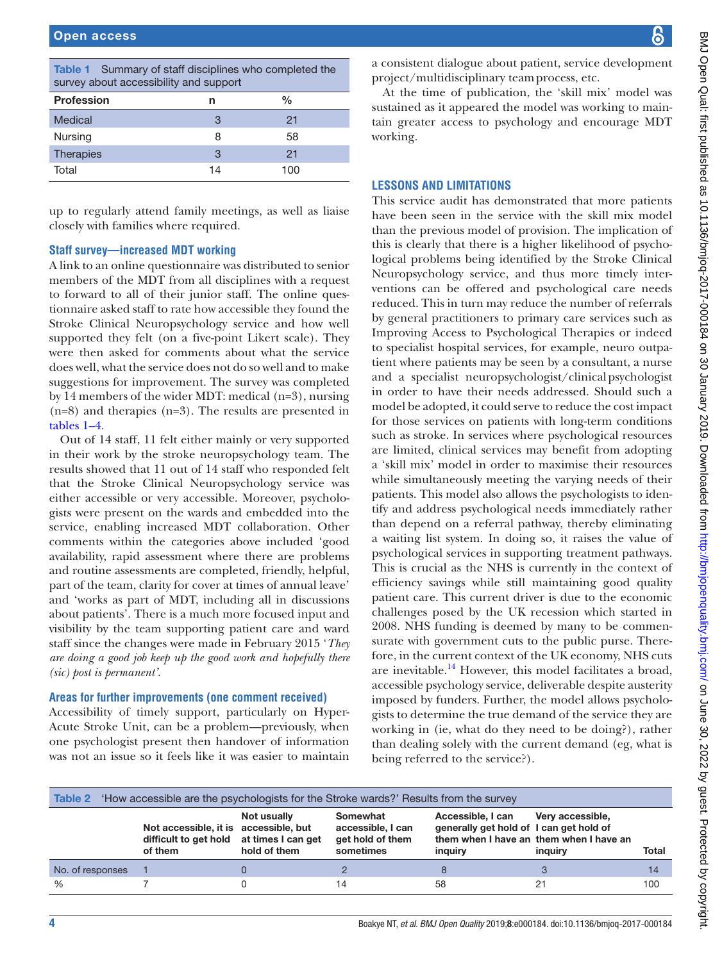<span id="page-3-0"></span>

| Table 1 Summary of staff disciplines who completed the<br>survey about accessibility and support |    |               |  |  |
|--------------------------------------------------------------------------------------------------|----|---------------|--|--|
| <b>Profession</b>                                                                                | n  | $\frac{0}{0}$ |  |  |
| Medical                                                                                          | 3  | 21            |  |  |
| Nursing                                                                                          | 8  | 58            |  |  |
| Therapies                                                                                        | 3  | 21            |  |  |
| Total                                                                                            | 14 | 100           |  |  |

up to regularly attend family meetings, as well as liaise closely with families where required.

# **Staff survey—increased MDT working**

A link to an online questionnaire was distributed to senior members of the MDT from all disciplines with a request to forward to all of their junior staff. The online questionnaire asked staff to rate how accessible they found the Stroke Clinical Neuropsychology service and how well supported they felt (on a five-point Likert scale). They were then asked for comments about what the service does well, what the service does not do so well and to make suggestions for improvement. The survey was completed by 14 members of the wider MDT: medical (n=3), nursing (n=8) and therapies (n=3). The results are presented in [tables](#page-3-0) 1–4.

Out of 14 staff, 11 felt either mainly or very supported in their work by the stroke neuropsychology team. The results showed that 11 out of 14 staff who responded felt that the Stroke Clinical Neuropsychology service was either accessible or very accessible. Moreover, psychologists were present on the wards and embedded into the service, enabling increased MDT collaboration. Other comments within the categories above included 'good availability, rapid assessment where there are problems and routine assessments are completed, friendly, helpful, part of the team, clarity for cover at times of annual leave' and 'works as part of MDT, including all in discussions about patients'. There is a much more focused input and visibility by the team supporting patient care and ward staff since the changes were made in February 2015 '*They are doing a good job keep up the good work and hopefully there (sic) post is permanent'.*

#### **Areas for further improvements (one comment received)**

Accessibility of timely support, particularly on Hyper-Acute Stroke Unit, can be a problem—previously, when one psychologist present then handover of information was not an issue so it feels like it was easier to maintain

BMJ Open Qual: first published as 10.1136/bmjoq-2017-000184 on 30 January 2019. Downloaded from http://bmj.com/ on June 30, 2022 by guest. Protected by copyright. BMJ Open Qual: first published as 10.1136/bmjoq-2017-000184 on 30 January 2019. Downloaded from mttp://bmj.com/ an June 30, 2022 by guest. Protected by copyright.

a consistent dialogue about patient, service development project/multidisciplinary teamprocess, etc.

At the time of publication, the 'skill mix' model was sustained as it appeared the model was working to maintain greater access to psychology and encourage MDT working.

# **Lessons and limitations**

This service audit has demonstrated that more patients have been seen in the service with the skill mix model than the previous model of provision. The implication of this is clearly that there is a higher likelihood of psychological problems being identified by the Stroke Clinical Neuropsychology service, and thus more timely interventions can be offered and psychological care needs reduced. This in turn may reduce the number of referrals by general practitioners to primary care services such as Improving Access to Psychological Therapies or indeed to specialist hospital services, for example, neuro outpatient where patients may be seen by a consultant, a nurse and a specialist neuropsychologist/clinicalpsychologist in order to have their needs addressed. Should such a model be adopted, it could serve to reduce the cost impact for those services on patients with long-term conditions such as stroke. In services where psychological resources are limited, clinical services may benefit from adopting a 'skill mix' model in order to maximise their resources while simultaneously meeting the varying needs of their patients. This model also allows the psychologists to identify and address psychological needs immediately rather than depend on a referral pathway, thereby eliminating a waiting list system. In doing so, it raises the value of psychological services in supporting treatment pathways. This is crucial as the NHS is currently in the context of efficiency savings while still maintaining good quality patient care. This current driver is due to the economic challenges posed by the UK recession which started in 2008. NHS funding is deemed by many to be commensurate with government cuts to the public purse. Therefore, in the current context of the UK economy, NHS cuts are inevitable.<sup>14</sup> However, this model facilitates a broad, accessible psychology service, deliverable despite austerity imposed by funders. Further, the model allows psychologists to determine the true demand of the service they are working in (ie, what do they need to be doing?), rather than dealing solely with the current demand (eg, what is being referred to the service?).

| <b>Table 2</b> 'How accessible are the psychologists for the Stroke wards?' Results from the survey |                                                                           |                                                   |                                                                |                                                                         |                                                                        |       |
|-----------------------------------------------------------------------------------------------------|---------------------------------------------------------------------------|---------------------------------------------------|----------------------------------------------------------------|-------------------------------------------------------------------------|------------------------------------------------------------------------|-------|
|                                                                                                     | Not accessible, it is accessible, but<br>difficult to get hold<br>of them | Not usually<br>at times I can get<br>hold of them | Somewhat<br>accessible, I can<br>get hold of them<br>sometimes | Accessible, I can<br>generally get hold of I can get hold of<br>inguiry | Very accessible,<br>them when I have an them when I have an<br>inguiry | Total |
| No. of responses                                                                                    |                                                                           |                                                   |                                                                |                                                                         |                                                                        | 14    |
| $\%$                                                                                                |                                                                           |                                                   | 14                                                             | 58                                                                      | 21                                                                     | 100   |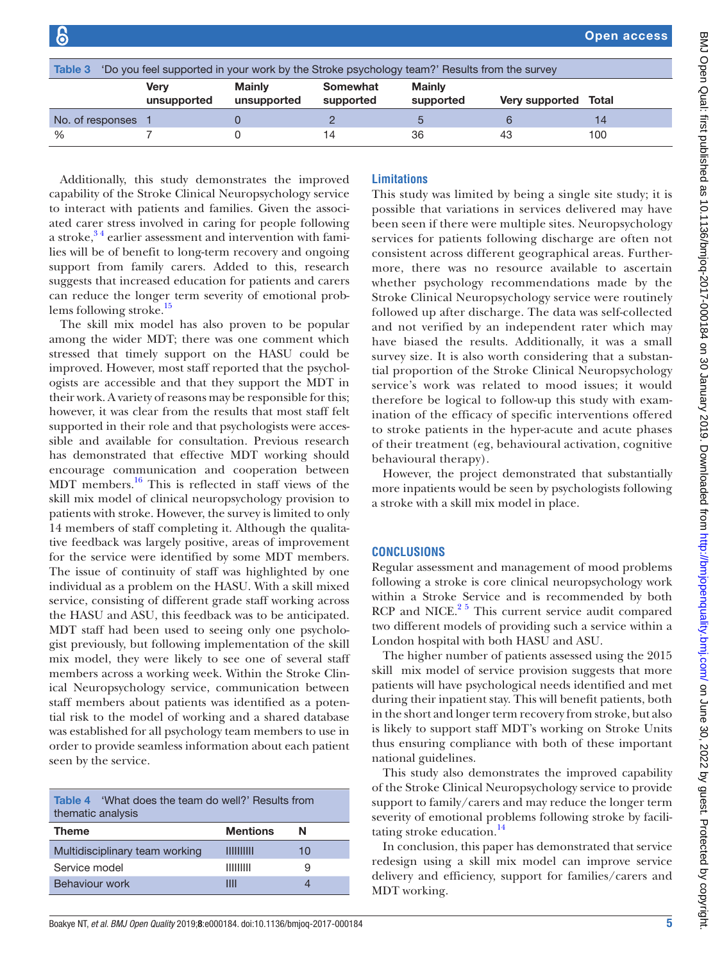| Table 3<br>'Do you feel supported in your work by the Stroke psychology team?' Results from the survey |                            |                              |                       |                            |                      |     |
|--------------------------------------------------------------------------------------------------------|----------------------------|------------------------------|-----------------------|----------------------------|----------------------|-----|
|                                                                                                        | <b>Verv</b><br>unsupported | <b>Mainly</b><br>unsupported | Somewhat<br>supported | <b>Mainly</b><br>supported | Very supported Total |     |
| No. of responses                                                                                       |                            |                              |                       |                            |                      | 14  |
| $\%$                                                                                                   |                            |                              | 14                    | 36                         | 43                   | 100 |

Additionally, this study demonstrates the improved capability of the Stroke Clinical Neuropsychology service to interact with patients and families. Given the associated carer stress involved in caring for people following a stroke, $3<sup>4</sup>$  earlier assessment and intervention with families will be of benefit to long-term recovery and ongoing support from family carers. Added to this, research suggests that increased education for patients and carers can reduce the longer term severity of emotional prob-lems following stroke.<sup>[15](#page-5-11)</sup>

The skill mix model has also proven to be popular among the wider MDT; there was one comment which stressed that timely support on the HASU could be improved. However, most staff reported that the psychologists are accessible and that they support the MDT in their work. A variety of reasons may be responsible for this; however, it was clear from the results that most staff felt supported in their role and that psychologists were accessible and available for consultation. Previous research has demonstrated that effective MDT working should encourage communication and cooperation between MDT members.[16](#page-5-12) This is reflected in staff views of the skill mix model of clinical neuropsychology provision to patients with stroke. However, the survey is limited to only 14 members of staff completing it. Although the qualitative feedback was largely positive, areas of improvement for the service were identified by some MDT members. The issue of continuity of staff was highlighted by one individual as a problem on the HASU. With a skill mixed service, consisting of different grade staff working across the HASU and ASU, this feedback was to be anticipated. MDT staff had been used to seeing only one psychologist previously, but following implementation of the skill mix model, they were likely to see one of several staff members across a working week. Within the Stroke Clinical Neuropsychology service, communication between staff members about patients was identified as a potential risk to the model of working and a shared database was established for all psychology team members to use in order to provide seamless information about each patient seen by the service.

| <b>Table 4</b> What does the team do well?' Results from<br>thematic analysis |                 |    |  |  |
|-------------------------------------------------------------------------------|-----------------|----|--|--|
| <b>Theme</b>                                                                  | <b>Mentions</b> | N  |  |  |
| Multidisciplinary team working                                                | IIIIIIIIIII     | 10 |  |  |
| Service model                                                                 | $\frac{1}{1}$   | 9  |  |  |
| <b>Behaviour work</b>                                                         | Ш               |    |  |  |

# **Limitations**

This study was limited by being a single site study; it is possible that variations in services delivered may have been seen if there were multiple sites. Neuropsychology services for patients following discharge are often not consistent across different geographical areas. Furthermore, there was no resource available to ascertain whether psychology recommendations made by the Stroke Clinical Neuropsychology service were routinely followed up after discharge. The data was self-collected and not verified by an independent rater which may have biased the results. Additionally, it was a small survey size. It is also worth considering that a substantial proportion of the Stroke Clinical Neuropsychology service's work was related to mood issues; it would therefore be logical to follow-up this study with examination of the efficacy of specific interventions offered to stroke patients in the hyper-acute and acute phases of their treatment (eg, behavioural activation, cognitive behavioural therapy).

However, the project demonstrated that substantially more inpatients would be seen by psychologists following a stroke with a skill mix model in place.

# **Conclusions**

Regular assessment and management of mood problems following a stroke is core clinical neuropsychology work within a Stroke Service and is recommended by both RCP and NICE. $2^5$  This current service audit compared two different models of providing such a service within a London hospital with both HASU and ASU.

The higher number of patients assessed using the 2015 skill mix model of service provision suggests that more patients will have psychological needs identified and met during their inpatient stay. This will benefit patients, both in the short and longer term recovery from stroke, but also is likely to support staff MDT's working on Stroke Units thus ensuring compliance with both of these important national guidelines.

This study also demonstrates the improved capability of the Stroke Clinical Neuropsychology service to provide support to family/carers and may reduce the longer term severity of emotional problems following stroke by facilitating stroke education.<sup>14</sup>

In conclusion, this paper has demonstrated that service redesign using a skill mix model can improve service delivery and efficiency, support for families/carers and MDT working.